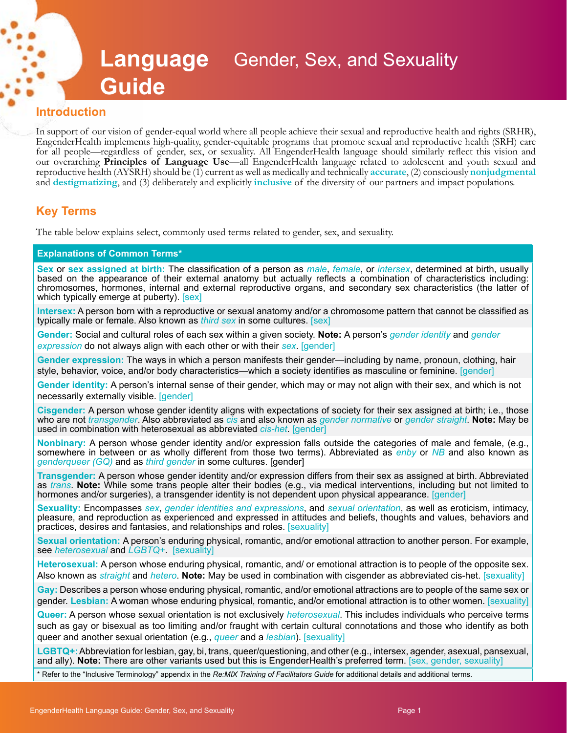# **Language**  Gender, Sex, and Sexuality **Guide**

#### **Introduction**

In support of our vision of gender-equal world where all people achieve their sexual and reproductive health and rights (SRHR), EngenderHealth implements high-quality, gender-equitable programs that promote sexual and reproductive health (SRH) care for all people—regardless of gender, sex, or sexuality. All EngenderHealth language should similarly reflect this vision and our overarching **Principles of Language Use**—all EngenderHealth language related to adolescent and youth sexual and reproductive health (AYSRH) should be (1) current as well as medically and technically **accurate**, (2) consciously **nonjudgmental** and **destigmatizing**, and (3) deliberately and explicitly **inclusive** of the diversity of our partners and impact populations.

## **Key Terms**

The table below explains select, commonly used terms related to gender, sex, and sexuality.

#### **Explanations of Common Terms\***

**Sex** or **sex assigned at birth:** The classification of a person as *male*, *female*, or *intersex*, determined at birth, usually based on the appearance of their external anatomy but actually reflects a combination of characteristics including: chromosomes, hormones, internal and external reproductive organs, and secondary sex characteristics (the latter of which typically emerge at puberty). [sex]

**Intersex:** A person born with a reproductive or sexual anatomy and/or a chromosome pattern that cannot be classified as typically male or female. Also known as *third sex* in some cultures. [sex]

**Gender:** Social and cultural roles of each sex within a given society. **Note:** A person's *gender identity* and *gender expression* do not always align with each other or with their *sex*. [gender]

**Gender expression:** The ways in which a person manifests their gender—including by name, pronoun, clothing, hair style, behavior, voice, and/or body characteristics—which a society identifies as masculine or feminine. [gender]

**Gender identity:** A person's internal sense of their gender, which may or may not align with their sex, and which is not necessarily externally visible. [gender]

**Cisgender:** A person whose gender identity aligns with expectations of society for their sex assigned at birth; i.e., those who are not *transgender*. Also abbreviated as *cis* and also known as *gender normative* or *gender straight*. **Note:** May be used in combination with heterosexual as abbreviated *cis-het*. [gender]

**Nonbinary:** A person whose gender identity and/or expression falls outside the categories of male and female, (e.g., somewhere in between or as wholly different from those two terms). Abbreviated as *enby* or *NB* and also known as *genderqueer (GQ)* and as *third gender* in some cultures. [gender]

**Transgender:** A person whose gender identity and/or expression differs from their sex as assigned at birth. Abbreviated as *trans*. **Note:** While some trans people alter their bodies (e.g., via medical interventions, including but not limited to hormones and/or surgeries), a transgender identity is not dependent upon physical appearance. [gender]

**Sexuality:** Encompasses *sex*, *gender identities and expressions*, and *sexual orientation*, as well as eroticism, intimacy, pleasure, and reproduction as experienced and expressed in attitudes and beliefs, thoughts and values, behaviors and practices, desires and fantasies, and relationships and roles. [sexuality]

**Sexual orientation:** A person's enduring physical, romantic, and/or emotional attraction to another person. For example, see *heterosexual* and *LGBTQ+*.[sexuality]

**Heterosexual:** A person whose enduring physical, romantic, and/ or emotional attraction is to people of the opposite sex. Also known as *straight* and *hetero*. **Note:** May be used in combination with cisgender as abbreviated cis-het. [sexuality]

**Gay:** Describes a person whose enduring physical, romantic, and/or emotional attractions are to people of the same sex or gender. **Lesbian:** A woman whose enduring physical, romantic, and/or emotional attraction is to other women. [sexuality]

**Queer:** A person whose sexual orientation is not exclusively *heterosexual*. This includes individuals who perceive terms such as gay or bisexual as too limiting and/or fraught with certain cultural connotations and those who identify as both queer and another sexual orientation (e.g., *queer* and a *lesbian*). [sexuality]

**LGBTQ+:** Abbreviation for lesbian, gay, bi, trans, queer/questioning, and other (e.g., intersex, agender, asexual, pansexual, and ally). **Note:** There are other variants used but this is EngenderHealth's preferred term. [sex, gender, sexuality]

\* Refer to the "Inclusive Terminology" appendix in the *Re:MIX Training of Facilitators Guide* for additional details and additional terms.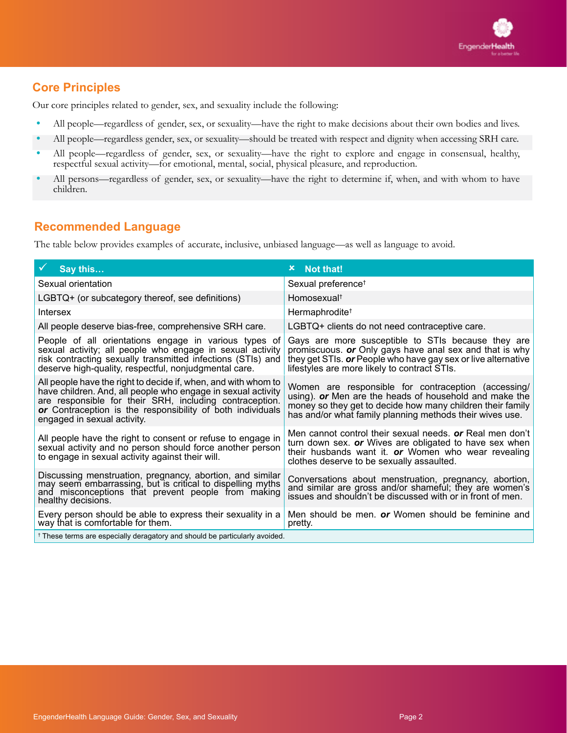# **Core Principles**

Our core principles related to gender, sex, and sexuality include the following:

- **•** All people—regardless of gender, sex, or sexuality—have the right to make decisions about their own bodies and lives.
- **•** All people—regardless gender, sex, or sexuality—should be treated with respect and dignity when accessing SRH care.
- **•** All people—regardless of gender, sex, or sexuality—have the right to explore and engage in consensual, healthy, respectful sexual activity—for emotional, mental, social, physical pleasure, and reproduction.
- **•** All persons—regardless of gender, sex, or sexuality—have the right to determine if, when, and with whom to have children.

### **Recommended Language**

The table below provides examples of accurate, inclusive, unbiased language—as well as language to avoid.

| Say this                                                                                                                                                                                                                                                                               | <b>x</b> Not that!                                                                                                                                                                                                                      |
|----------------------------------------------------------------------------------------------------------------------------------------------------------------------------------------------------------------------------------------------------------------------------------------|-----------------------------------------------------------------------------------------------------------------------------------------------------------------------------------------------------------------------------------------|
| Sexual orientation                                                                                                                                                                                                                                                                     | Sexual preference <sup>+</sup>                                                                                                                                                                                                          |
| LGBTQ+ (or subcategory thereof, see definitions)                                                                                                                                                                                                                                       | Homosexual <sup>†</sup>                                                                                                                                                                                                                 |
| Intersex                                                                                                                                                                                                                                                                               | Hermaphrodite <sup>+</sup>                                                                                                                                                                                                              |
| All people deserve bias-free, comprehensive SRH care.                                                                                                                                                                                                                                  | LGBTQ+ clients do not need contraceptive care.                                                                                                                                                                                          |
| People of all orientations engage in various types of<br>sexual activity; all people who engage in sexual activity<br>risk contracting sexually transmitted infections (STIs) and<br>deserve high-quality, respectful, nonjudgmental care.                                             | Gays are more susceptible to STIs because they are<br>promiscuous. or Only gays have anal sex and that is why<br>they get STIs. or People who have gay sex or live alternative<br>lifestyles are more likely to contract STIs.          |
| All people have the right to decide if, when, and with whom to<br>have children. And, all people who engage in sexual activity<br>are responsible for their SRH, including contraception.<br>or Contraception is the responsibility of both individuals<br>engaged in sexual activity. | Women are responsible for contraception (accessing/<br>using). or Men are the heads of household and make the<br>money so they get to decide how many children their family<br>has and/or what family planning methods their wives use. |
| All people have the right to consent or refuse to engage in<br>sexual activity and no person should force another person<br>to engage in sexual activity against their will.                                                                                                           | Men cannot control their sexual needs. or Real men don't<br>turn down sex. or Wives are obligated to have sex when<br>their husbands want it. or Women who wear revealing<br>clothes deserve to be sexually assaulted.                  |
| Discussing menstruation, pregnancy, abortion, and similar<br>may seem embarrassing, but is critical to dispelling myths<br>and misconceptions that prevent people from making<br>healthy decisions.                                                                                    | Conversations about menstruation, pregnancy, abortion, and similar are gross and/or shameful; they are women's<br>issues and shouldn't be discussed with or in front of men.                                                            |
| Every person should be able to express their sexuality in a<br>way that is comfortable for them.                                                                                                                                                                                       | Men should be men. or Women should be feminine and<br>pretty.                                                                                                                                                                           |
| <sup>†</sup> These terms are especially deragatory and should be particularly avoided.                                                                                                                                                                                                 |                                                                                                                                                                                                                                         |